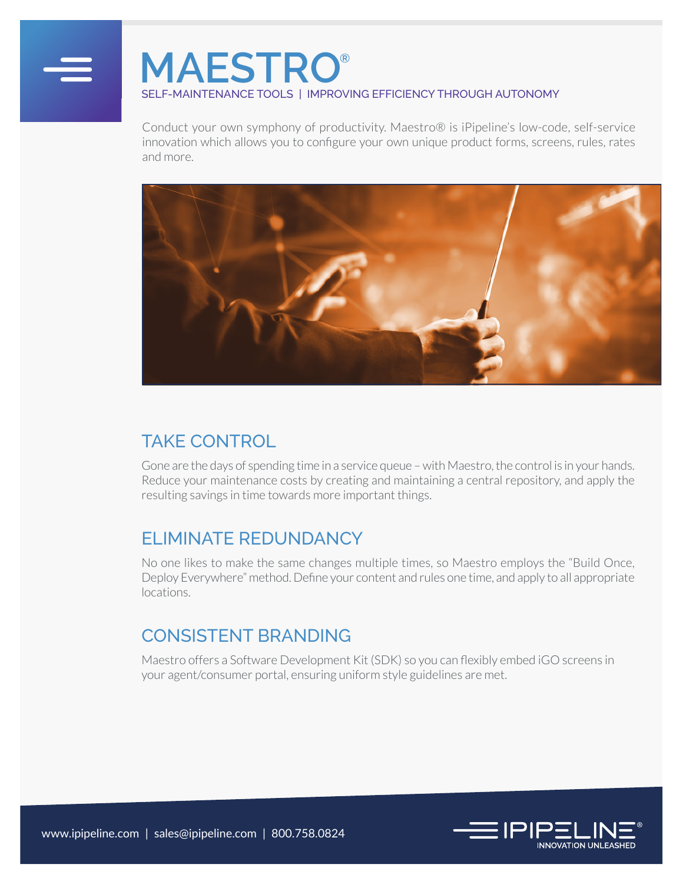

# **MAESTRO®** SELF-MAINTENANCE TOOLS | IMPROVING EFFICIENCY THROUGH AUTONOMY

Conduct your own symphony of productivity. Maestro® is iPipeline's low-code, self-service innovation which allows you to configure your own unique product forms, screens, rules, rates and more.



#### TAKE CONTROL

Gone are the days of spending time in a service queue – with Maestro, the control is in your hands. Reduce your maintenance costs by creating and maintaining a central repository, and apply the resulting savings in time towards more important things.

### ELIMINATE REDUNDANCY

No one likes to make the same changes multiple times, so Maestro employs the "Build Once, Deploy Everywhere" method. Define your content and rules one time, and apply to all appropriate locations.

#### CONSISTENT BRANDING

Maestro offers a Software Development Kit (SDK) so you can flexibly embed iGO screens in your agent/consumer portal, ensuring uniform style guidelines are met.